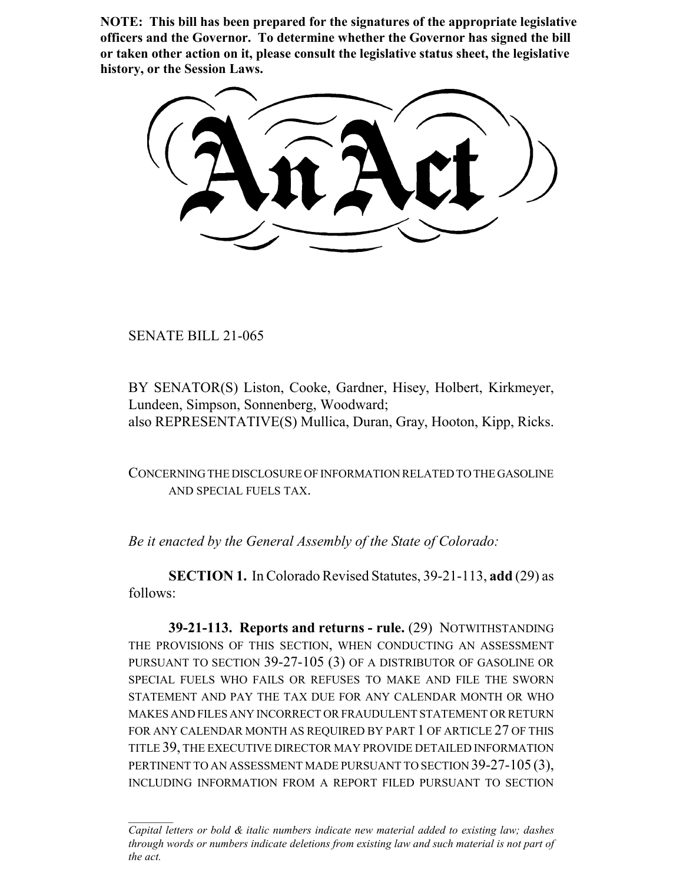**NOTE: This bill has been prepared for the signatures of the appropriate legislative officers and the Governor. To determine whether the Governor has signed the bill or taken other action on it, please consult the legislative status sheet, the legislative history, or the Session Laws.**

SENATE BILL 21-065

BY SENATOR(S) Liston, Cooke, Gardner, Hisey, Holbert, Kirkmeyer, Lundeen, Simpson, Sonnenberg, Woodward; also REPRESENTATIVE(S) Mullica, Duran, Gray, Hooton, Kipp, Ricks.

CONCERNING THE DISCLOSURE OF INFORMATION RELATED TO THE GASOLINE AND SPECIAL FUELS TAX.

*Be it enacted by the General Assembly of the State of Colorado:*

**SECTION 1.** In Colorado Revised Statutes, 39-21-113, **add** (29) as follows:

**39-21-113. Reports and returns - rule.** (29) NOTWITHSTANDING THE PROVISIONS OF THIS SECTION, WHEN CONDUCTING AN ASSESSMENT PURSUANT TO SECTION 39-27-105 (3) OF A DISTRIBUTOR OF GASOLINE OR SPECIAL FUELS WHO FAILS OR REFUSES TO MAKE AND FILE THE SWORN STATEMENT AND PAY THE TAX DUE FOR ANY CALENDAR MONTH OR WHO MAKES AND FILES ANY INCORRECT OR FRAUDULENT STATEMENT OR RETURN FOR ANY CALENDAR MONTH AS REQUIRED BY PART 1 OF ARTICLE 27 OF THIS TITLE 39, THE EXECUTIVE DIRECTOR MAY PROVIDE DETAILED INFORMATION PERTINENT TO AN ASSESSMENT MADE PURSUANT TO SECTION 39-27-105 (3), INCLUDING INFORMATION FROM A REPORT FILED PURSUANT TO SECTION

*Capital letters or bold & italic numbers indicate new material added to existing law; dashes through words or numbers indicate deletions from existing law and such material is not part of the act.*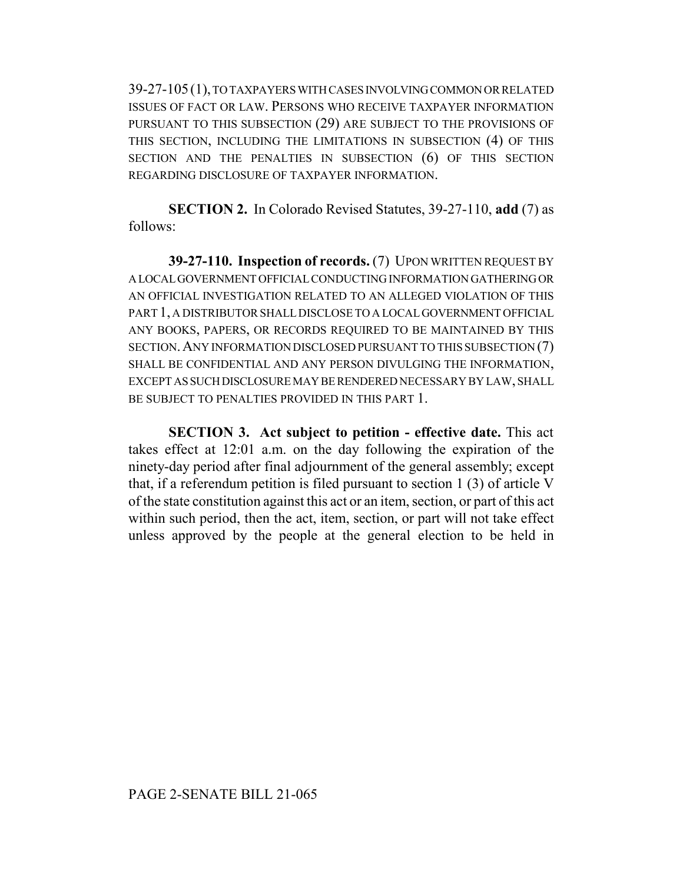39-27-105(1), TO TAXPAYERS WITH CASES INVOLVING COMMON OR RELATED ISSUES OF FACT OR LAW. PERSONS WHO RECEIVE TAXPAYER INFORMATION PURSUANT TO THIS SUBSECTION (29) ARE SUBJECT TO THE PROVISIONS OF THIS SECTION, INCLUDING THE LIMITATIONS IN SUBSECTION (4) OF THIS SECTION AND THE PENALTIES IN SUBSECTION (6) OF THIS SECTION REGARDING DISCLOSURE OF TAXPAYER INFORMATION.

**SECTION 2.** In Colorado Revised Statutes, 39-27-110, **add** (7) as follows:

**39-27-110. Inspection of records.** (7) UPON WRITTEN REQUEST BY A LOCAL GOVERNMENT OFFICIAL CONDUCTING INFORMATION GATHERING OR AN OFFICIAL INVESTIGATION RELATED TO AN ALLEGED VIOLATION OF THIS PART 1, A DISTRIBUTOR SHALL DISCLOSE TO A LOCAL GOVERNMENT OFFICIAL ANY BOOKS, PAPERS, OR RECORDS REQUIRED TO BE MAINTAINED BY THIS SECTION.ANY INFORMATION DISCLOSED PURSUANT TO THIS SUBSECTION (7) SHALL BE CONFIDENTIAL AND ANY PERSON DIVULGING THE INFORMATION, EXCEPT AS SUCH DISCLOSURE MAY BE RENDERED NECESSARY BY LAW, SHALL BE SUBJECT TO PENALTIES PROVIDED IN THIS PART 1.

**SECTION 3. Act subject to petition - effective date.** This act takes effect at 12:01 a.m. on the day following the expiration of the ninety-day period after final adjournment of the general assembly; except that, if a referendum petition is filed pursuant to section 1 (3) of article V of the state constitution against this act or an item, section, or part of this act within such period, then the act, item, section, or part will not take effect unless approved by the people at the general election to be held in